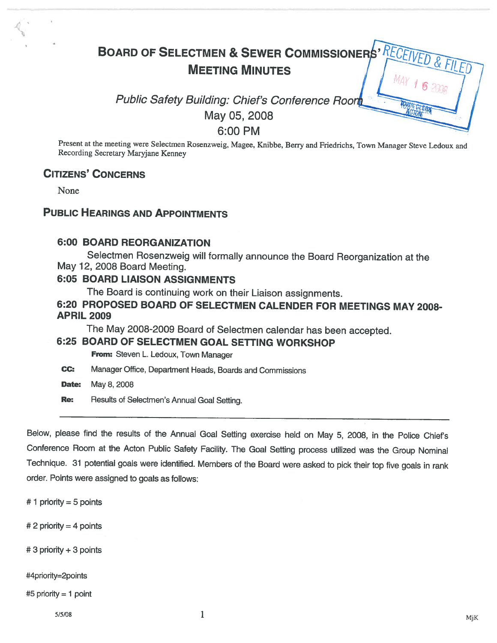# BOARD OF SELECTMEN & SEWER COMMISSIONERS' RECEIVED & FI MEETING MINUTES

# Public Safety Building: Chief's Conference Room May 05, 2008 6:00 PM

Present at the meeting were Selectmen Rosenzweig, Magee, Knibbe, Berry and Friedrichs, Town Manager Steve Ledoux and Recording Secretary Maryjane Kenney

#### CITIZENS' CONCERNS

None

#### PUBLIC HEARINGS AND APPOINTMENTS

#### 6:00 BOARD REORGANIZATION

Selectmen Rosenzweig will formally announce the Board Reorganization at the May 12, 2008 Board Meeting.

#### 6:05 BOARD LIAISON ASSIGNMENTS

The Board is continuing work on their Liaison assignments.

#### 6:20 PROPOSED BOARD OF SELECTMEN CALENDER FOR MEETINGS MAY 2008- APRIL 2009

The May 2008-2009 Board of Selectmen calendar has been accepted.

#### 6:25 BOARD OF SELECTMEN GOAL SETTING WORKSHOP

From: Steven L. Ledoux, Town Manager

CC: Manager Office, Department Heads, Boards and Commissions

**Date:** May 8, 2008

Re: Results of Selectmen's Annual Goal Setting.

Below, <sup>p</sup>lease find the results of the Annual Goal Setting exercise held on May 5, 2008, in the Police Chief's Conference Room at the Acton Public Safety Facility. The Goal Setting process utilized was the Group Nominal Technique. <sup>31</sup> potential goals were identified. Members of the Board were asked to <sup>p</sup>ick their top five goals in rank order. Points were assigned to goals as follows:

 $# 1$  priority = 5 points

 $# 2$  priority = 4 points

#3 priority ÷3 points

#4priority=2points

#5 priority <sup>=</sup> <sup>1</sup> point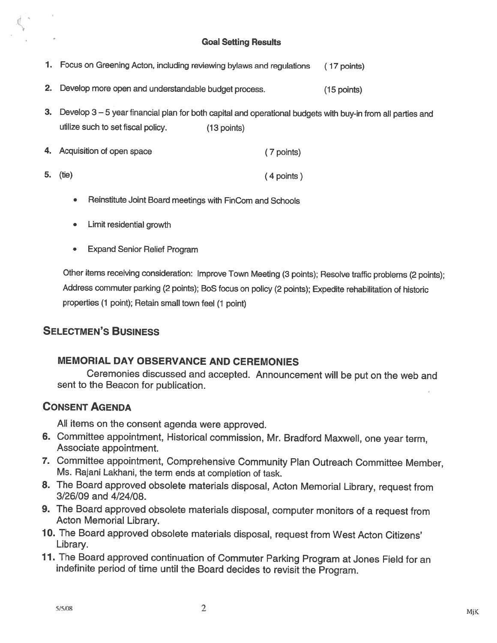#### Goal Setting Results

- 1. Focus on Greening Acton, including reviewing bylaws and regulations (17 points)
- 2. Develop more open and understandable budget process. (15 points)
- 3. Develop 3—5 year financial <sup>p</sup>lan for both capital and operational budgets with buy-in from all parties and utilize such to set fiscal policy. (13 points)
- 4. Acquisition of open space 5. (tie) (7 points) (4 points)
	- •Reinstitute Joint Board meetings with FinCom and Schools
	- •Limit residential growth
	- •Expand Senior Relief Program

Other items receiving consideration: Improve Town Meeting (3 points); Resolve traffic problems (2 points); Address commuter parking (2 points); BoS focus on policy (2 points); Expedite rehabilitation of historic properties (1 point); Retain small town feel (1 point)

# SELECTMEN'S BUSINESS

#### MEMORIAL DAY OBSERVANCE AND CEREMONIES

Ceremonies discussed and accepted. Announcement will be put on the web and sent to the Beacon for publication.

### CONSENT AGENDA

All items on the consent agenda were approved.

- 6. Committee appointment, Historical commission, Mr. Bradford Maxwell, one year term, Associate appointment.
- 7. Committee appointment, Comprehensive Community Plan Outreach Committee Member, Ms. Rajani Lakhani, the term ends at completion of task.
- 8. The Board approved obsolete materials disposal, Acton Memorial Library, request from 3/26/09 and 4/24/08.
- 9. The Board approved obsolete materials disposal, computer monitors of <sup>a</sup> request from Acton Memorial Library.
- 10. The Board approved obsolete materials disposal, request from West Acton Citizens' Library.
- 11. The Board approved continuation of Commuter Parking Program at Jones Field for an indefinite period of time until the Board decides to revisit the Program.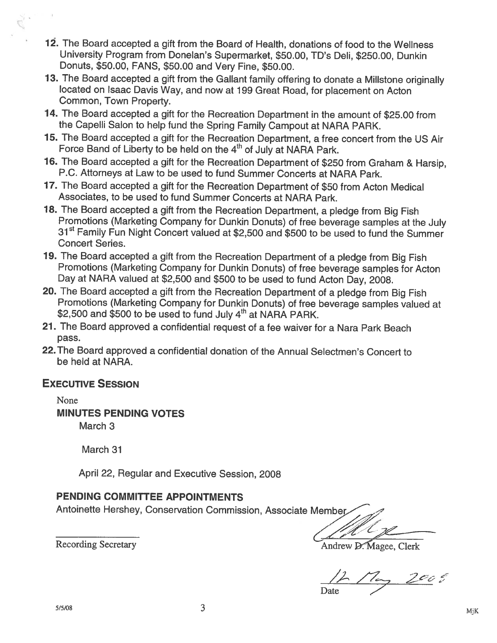- 12. The Board accepted <sup>a</sup> gift from the Board of Health, donations of food to the Wellness University Program from Donelan's Supermarket, \$50.00, ID's Deli, \$250.00, Dunkin Donuts, \$50.00, FANS, \$50.00 and Very Fine, \$50.00.
- 13. The Board accepted <sup>a</sup> <sup>g</sup>ift from the Gallant family offering to donate <sup>a</sup> Millstone originally located on Isaac Davis Way, and now at <sup>199</sup> Great Road, for <sup>p</sup>lacement on Acton Common, Town Property.
- 14. The Board accepted <sup>a</sup> <sup>g</sup>ift for the Recreation Department in the amount of \$25.00 from the Capelli Salon to help fund the Spring Family Campout at NARA PARK.
- 75. The Board accepted <sup>a</sup> <sup>g</sup>ift for the Recreation Department, <sup>a</sup> free concert from the US Air Force Band of Liberty to be held on the 4<sup>th</sup> of July at NARA Park.
- 16. The Board accepted <sup>a</sup> <sup>g</sup>ift for the Recreation Department of \$250 from Graham & Harsip, P.C. Attorneys at Law to be used to fund Summer Concerts at NARA Park.
- 17. The Board accepted <sup>a</sup> <sup>g</sup>ift for the Recreation Department of \$50 from Acton Medical Associates, to be used to fund Summer Concerts at NARA Park.
- 18. The Board accepted a gift from the Recreation Department, a pledge from Big Fish<br>Promotions (Marketing Company for Dunkin Donuts) of free beverage samples at the July 31<sup>st</sup> Family Fun Night Concert valued at \$2,500 and \$500 to be used to fund the Summer Concert Series.
- 19. The Board accepted <sup>a</sup> <sup>g</sup>ift from the Recreation Department of <sup>a</sup> <sup>p</sup>ledge from Big Fish Promotions (Marketing Company for Dunkin Donuts) of free beverage samples for Acton Day at NARA valued at \$2,500 and \$500 to be used to fund Acton Day, 2008.
- 20. The Board accepted <sup>a</sup> <sup>g</sup>ift from the Recreation Department of <sup>a</sup> <sup>p</sup>ledge from Big Fish Promotions (Marketing Company for Dunkin Donuts) of free beverage samples valued at \$2,500 and \$500 to be used to fund July 4<sup>th</sup> at NARA PARK.
- 21. The Board approved <sup>a</sup> confidential request of <sup>a</sup> fee waiver for <sup>a</sup> Nara Park Beach pass.
- 22. The Board approved <sup>a</sup> confidential donation of the Annual Selectmen's Concert to be held at NARA.

# EXECUTIVE SESSION

None MINUTES PENDING VOTES March 3

March 31

April 22, Regular and Executive Session, 2008

### PENDING COMMITTEE APPOINTMENTS

Antoinette Hershey, Conservation Commission, Associate Member— .•

Recording Secretary **Andrew D. Magee, Clerk** 

 $2e$ o G Date  $\angle$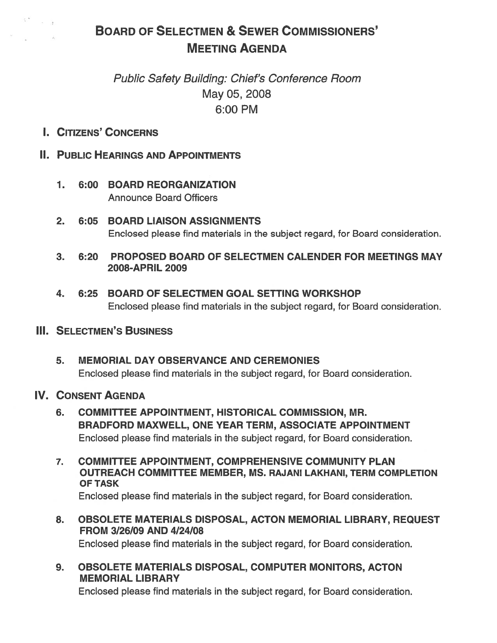# BOARD OF SELECTMEN & SEWER COMMISSIONERS' MEETING AGENDA

# Public Safety Building: Chief's Conference Room May 05, 2008 6:00 PM

I. CITIZENS' CONCERNS

# II. PUBLIC HEARINGS AND APPOINTMENTS

- 7. 6:00 BOARD REORGANIZATION Announce Board Officers
- 2. 6:05 BOARD LIAISON ASSIGNMENTS Enclosed please find materials in the subject regard, for Board consideration.
- 3. 6:20 PROPOSED BOARD OF SELECTMEN CALENDER FOR MEETINGS MAY 2008-APRIL 2009
- 4. 6:25 BOARD OF SELECTMEN GOAL SETTING WORKSHOP Enclosed please find materials in the subject regard, for Board consideration.

## **III. SELECTMEN'S BUSINESS**

5. MEMORIAL DAY OBSERVANCE AND CEREMONIES Enclosed please find materials in the subject regard, for Board consideration.

### IV. CONSENT AGENDA

- 6. COMMITTEE APPOINTMENT, HISTORICAL COMMISSION, MR. BRADFORD MAXWELL, ONE YEAR TERM, ASSOCIATE APPOINTMENT Enclosed please find materials in the subject regard, for Board consideration.
- 7. COMMITTEE APPOINTMENT, COMPREHENSIVE COMMUNITY PLAN OUTREACH COMMITTEE MEMBER, MS. RAJANI LAKHANI, TERM COMPLETION OF TASK Enclosed please find materials in the subject regard, for Board consideration.
- 8. OBSOLETE MATERIALS DISPOSAL, ACTON MEMORIAL LIBRARY, REQUEST FROM 3/26/09 AND 4/24/08 Enclosed please find materials in the subject regard, for Board consideration.
- 9. OBSOLETE MATERIALS DISPOSAL, COMPUTER MONITORS, ACTON MEMORIAL LIBRARY

Enclosed please find materials in the subject regard, for Board consideration.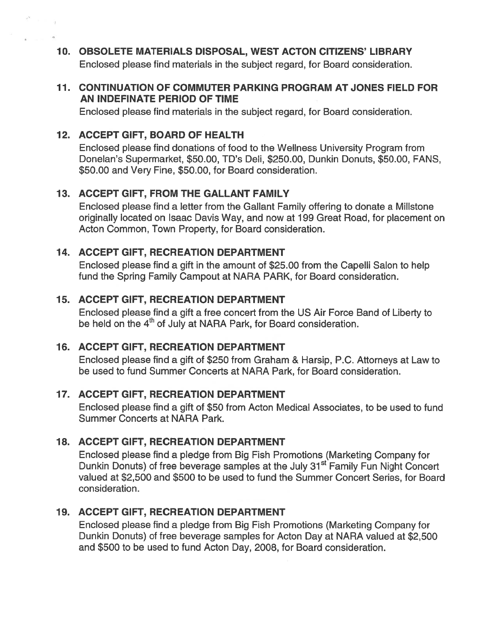10. OBSOLETE MATERIALS DISPOSAL, WEST ACTON CITIZENS' LIBRARY Enclosed please find materials in the subject regard, for Board consideration.

#### 11. CONTINUATION OF COMMUTER PARKING PROGRAM AT JONES FIELD FOR AN INDEFINATE PERIOD OF TIME

Enclosed please find materials in the subject regard, for Board consideration.

## 12. ACCEPT GIFT, BOARD OF HEALTH

Enclosed please find donations of food to the Weliness University Program from Donelan's Supermarket, \$50.00, TD's Deli, \$250.00, Dunkin Donuts, \$50.00, FANS, \$50.00 and Very Fine, \$50.00, for Board consideration.

# 13. ACCEPT GIFT, FROM THE GALLANT FAMILY

Enclosed please find <sup>a</sup> letter from the Gallant Family offering to donate <sup>a</sup> Millstone originally located on Isaac Davis Way, and now at 199 Great Road, for placement on Acton Common, Town Property, for Board consideration.

### 14. ACCEPT GIFT, RECREATION DEPARTMENT

Enclosed please find <sup>a</sup> gift in the amount of \$25.00 from the Capelli Salon to help fund the Spring Family Campout at NARA PARK, for Board consideration.

# 15. ACCEPT GIFT, RECREATION DEPARTMENT

Enclosed please find <sup>a</sup> gift <sup>a</sup> free concert from the US Air Force Band of Liberty to be held on the 4<sup>th</sup> of July at NARA Park, for Board consideration.

### 16. ACCEPT GIFT, RECREATION DEPARTMENT

Enclosed <sup>p</sup>lease find <sup>a</sup> <sup>g</sup>ift of \$250 from Graham & Harsip, P.C. Attorneys at Law to be used to fund Summer Concerts at NARA Park, for Board consideration.

### 17. ACCEPT GIFT, RECREATION DEPARTMENT

Enclosed please find <sup>a</sup> gift of \$50 from Acton Medical Associates, to be used to fund Summer Concerts at NARA Park.

# 18. ACCEPT GIFT, RECREATION DEPARTMENT

Enclosed please find <sup>a</sup> pledge from Big Fish Promotions (Marketing Company for Dunkin Donuts) of free beverage samples at the July 31<sup>st</sup> Family Fun Night Concert valued at \$2,500 and \$500 to be used to fund the Summer Concert Series, for Board consideration.

# 19. ACCEPT GIFT, RECREATION DEPARTMENT

Enclosed please find <sup>a</sup> pledge from Big Fish Promotions (Marketing Company for Dunkin Donuts) of free beverage samples for Acton Day at NARA valued at \$2,500 and \$500 to be used to fund Acton Day, 2008, for Board consideration.